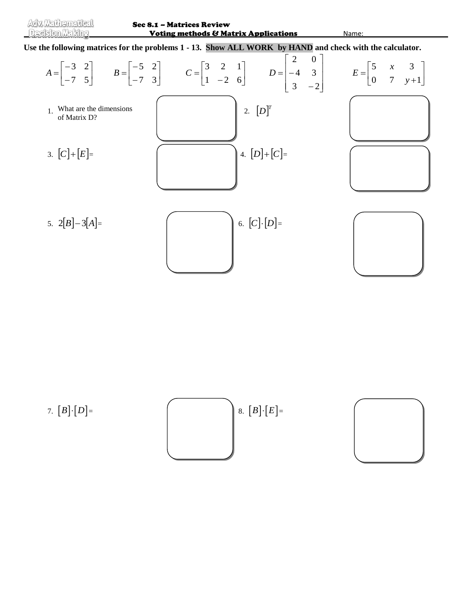

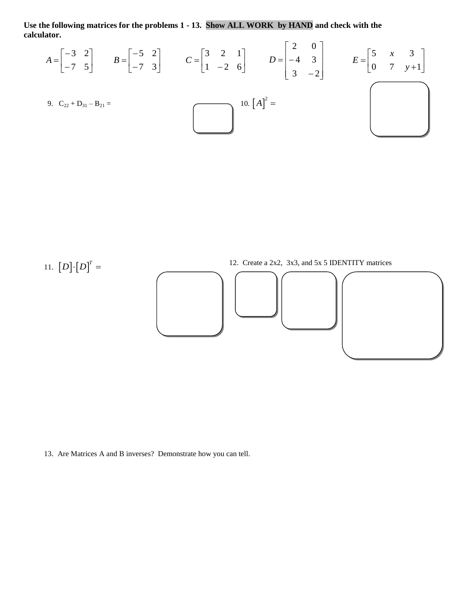**Use the following matrices for the problems 1 - 13. Show ALL WORK by HAND and check with the calculator.**  $\overline{r}$   $\overline{r}$ 

$$
A = \begin{bmatrix} -3 & 2 \\ -7 & 5 \end{bmatrix} \qquad B = \begin{bmatrix} -5 & 2 \\ -7 & 3 \end{bmatrix} \qquad C = \begin{bmatrix} 3 & 2 & 1 \\ 1 & -2 & 6 \end{bmatrix} \qquad D = \begin{bmatrix} 2 & 0 \\ -4 & 3 \\ 3 & -2 \end{bmatrix} \qquad E = \begin{bmatrix} 5 & x & 3 \\ 0 & 7 & y+1 \end{bmatrix}
$$
  
9. C<sub>22</sub> + D<sub>31</sub> - B<sub>21</sub> = 10. [A]<sup>2</sup> = 10. [A]<sup>2</sup> = 10. [A<sup>2</sup>]



13. Are Matrices A and B inverses? Demonstrate how you can tell.